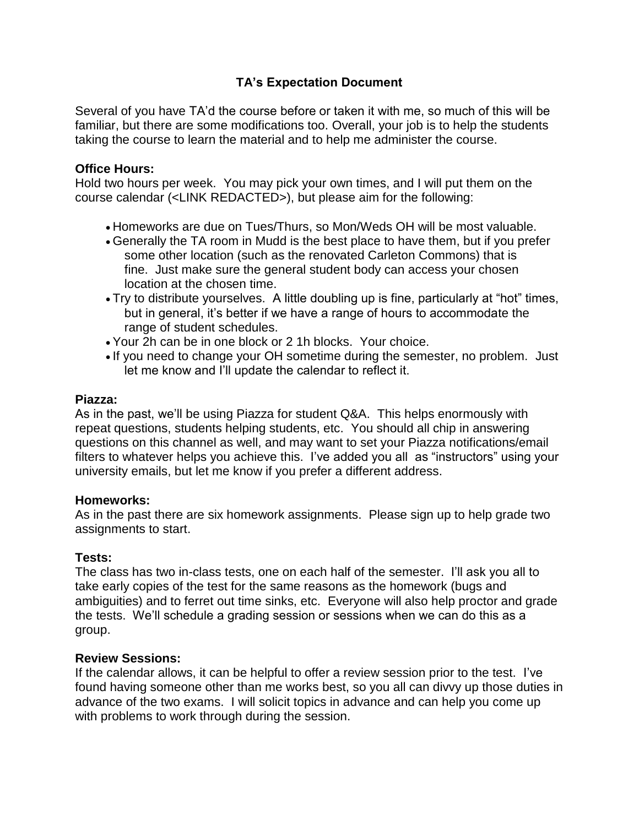# **TA's Expectation Document**

Several of you have TA'd the course before or taken it with me, so much of this will be familiar, but there are some modifications too. Overall, your job is to help the students taking the course to learn the material and to help me administer the course.

### **Office Hours:**

Hold two hours per week. You may pick your own times, and I will put them on the course calendar (<LINK REDACTED>), but please aim for the following:

- Homeworks are due on Tues/Thurs, so Mon/Weds OH will be most valuable.
- Generally the TA room in Mudd is the best place to have them, but if you prefer some other location (such as the renovated Carleton Commons) that is fine. Just make sure the general student body can access your chosen location at the chosen time.
- Try to distribute yourselves. A little doubling up is fine, particularly at "hot" times, but in general, it's better if we have a range of hours to accommodate the range of student schedules.
- Your 2h can be in one block or 2 1h blocks. Your choice.
- If you need to change your OH sometime during the semester, no problem. Just let me know and I'll update the calendar to reflect it.

#### **Piazza:**

As in the past, we'll be using Piazza for student Q&A. This helps enormously with repeat questions, students helping students, etc. You should all chip in answering questions on this channel as well, and may want to set your Piazza notifications/email filters to whatever helps you achieve this. I've added you all as "instructors" using your university emails, but let me know if you prefer a different address.

#### **Homeworks:**

As in the past there are six homework assignments. Please sign up to help grade two assignments to start.

## **Tests:**

The class has two in-class tests, one on each half of the semester. I'll ask you all to take early copies of the test for the same reasons as the homework (bugs and ambiguities) and to ferret out time sinks, etc. Everyone will also help proctor and grade the tests. We'll schedule a grading session or sessions when we can do this as a group.

#### **Review Sessions:**

If the calendar allows, it can be helpful to offer a review session prior to the test. I've found having someone other than me works best, so you all can divvy up those duties in advance of the two exams. I will solicit topics in advance and can help you come up with problems to work through during the session.